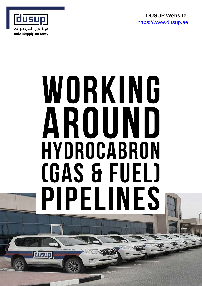**DUSUP Website:**  https://www.dusup.ae



dusup

# WORKING AROUND **HYDROCABRON CGAS & FUEL)** PIPELINES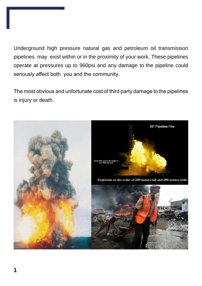Underground high pressure natural gas and petroleum oil transmission pipelines may exist within or in the proximity of your work. These pipelines operate at pressures up to 960psi and any damage to the pipeline could seriously affect both you and the community.

The most obvious and unfortunate cost of third party damage to the pipelines is injury or death.

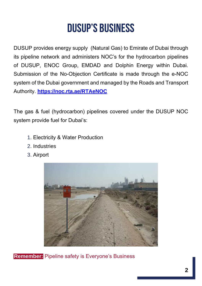# **DUSUP'S BUSINESS**

DUSUP provides energy supply (Natural Gas) to Emirate of Dubai through its pipeline network and administers NOC's for the hydrocarbon pipelines of DUSUP, ENOC Group, EMDAD and Dolphin Energy within Dubai. Submission of the No-Objection Certificate is made through the e-NOC system of the Dubai government and managed by the Roads and Transport Authority. **https://noc.rta.ae/RTAeNOC**

The gas & fuel (hydrocarbon) pipelines covered under the DUSUP NOC system provide fuel for Dubai's:

- 1. Electricity & Water Production
- 2. Industries
- 3. Airport



**Remember:** Pipeline safety is Everyone's Business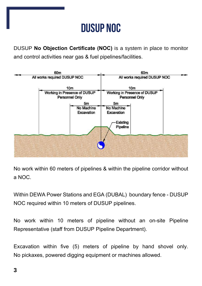## **dusup noc**

DUSUP **No Objection Certificate (NOC)** is a system in place to monitor and control activities near gas & fuel pipelines/facilities.



No work within 60 meters of pipelines & within the pipeline corridor without a NOC.

Within DEWA Power Stations and EGA (DUBAL) boundary fence - DUSUP NOC required within 10 meters of DUSUP pipelines.

No work within 10 meters of pipeline without an on-site Pipeline Representative (staff from DUSUP Pipeline Department).

Excavation within five (5) meters of pipeline by hand shovel only. No pickaxes, powered digging equipment or machines allowed.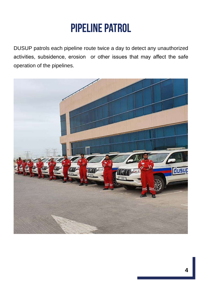# **Pipeline Patrol**

DUSUP patrols each pipeline route twice a day to detect any unauthorized activities, subsidence, erosion or other issues that may affect the safe operation of the pipelines.

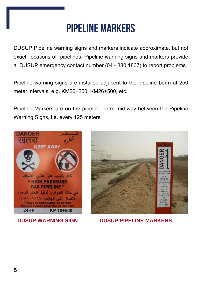#### **Pipeline markers**

DUSUP Pipeline warning signs and markers indicate approximate, but not exact, locations of pipelines. Pipeline warning signs and markers provide a DUSUP emergency contact number (04 - 880 1867) to report problems.

Pipeline warning signs are installed adjacent to the pipeline berm at 250 meter intervals, e.g. KM26+250, KM26+500, etc.

Pipeline Markers are on the pipeline berm mid-way between the Pipeline Warning Signs, i.e. every 125 meters.





**DUSUP WARNING SIGN DUSUP PIPELINE MARKERS**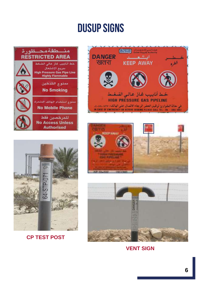#### **DUSUP Signs**









**CP TEST POST**



**VENT SIGN**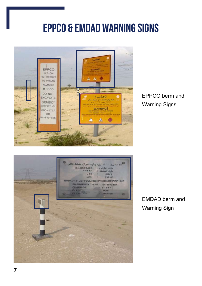#### **EPPCO & EMDAD WARNING SIGNS**



EPPCO berm and Warning Signs



EMDAD berm and Warning Sign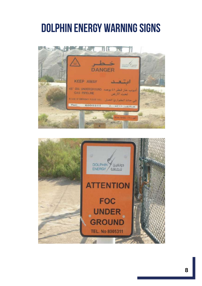# **Dolphin Energy Warning Signs**



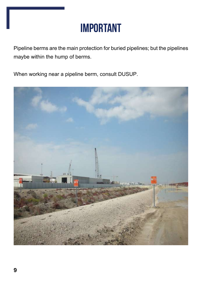# **important**

Pipeline berms are the main protection for buried pipelines; but the pipelines maybe within the hump of berms.

When working near a pipeline berm, consult DUSUP.

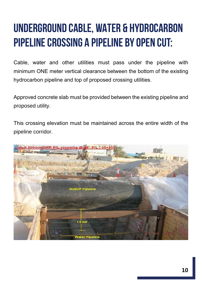# **UNDERGROUND CABLE, WATER & HYDROCARBON PIPELINE CROSSING A PIPELINE BY OPEN CUT:**

Cable, water and other utilities must pass under the pipeline with minimum ONE meter vertical clearance between the bottom of the existing hydrocarbon pipeline and top of proposed crossing utilities.

Approved concrete slab must be provided between the existing pipeline and proposed utility.

This crossing elevation must be maintained across the entire width of the pipeline corridor.

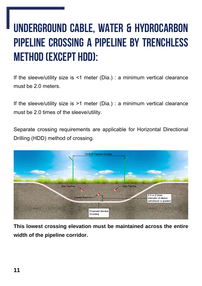# **UNDERGROUND CABLE, WATER & HYDROCARBON PIPELINE CROSSING A PIPELINE BY TRENCHLESS METHOD (EXCEPT HDD):**

If the sleeve/utility size is <1 meter (Dia.) : a minimum vertical clearance must be 2.0 meters.

If the sleeve/utility size is >1 meter (Dia.) : a minimum vertical clearance must be 2.0 times of the sleeve/utility.

Separate crossing requirements are applicable for Horizontal Directional Drilling (HDD) method of crossing.



**This lowest crossing elevation must be maintained across the entire width of the pipeline corridor.**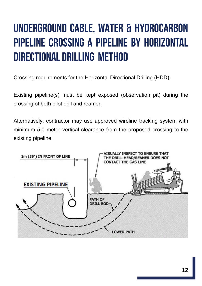# **UNDERGROUND CABLE, WATER & HYDROCARBON PIPELINE CROSSING A PIPELINE BY HORIZONTAL DIRECTIONAL DRILLING METHOD**

Crossing requirements for the Horizontal Directional Drilling (HDD):

Existing pipeline(s) must be kept exposed (observation pit) during the crossing of both pilot drill and reamer.

Alternatively; contractor may use approved wireline tracking system with minimum 5.0 meter vertical clearance from the proposed crossing to the existing pipeline.

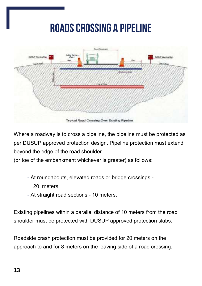# **roads crossing a pipeline**



Where a roadway is to cross a pipeline, the pipeline must be protected as per DUSUP approved protection design. Pipeline protection must extend beyond the edge of the road shoulder

(or toe of the embankment whichever is greater) as follows:

- At roundabouts, elevated roads or bridge crossings
	- 20 meters.
- At straight road sections 10 meters.

Existing pipelines within a parallel distance of 10 meters from the road shoulder must be protected with DUSUP approved protection slabs.

Roadside crash protection must be provided for 20 meters on the approach to and for 8 meters on the leaving side of a road crossing.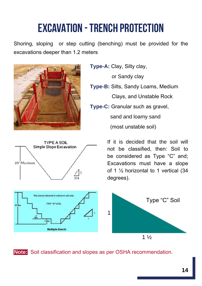# **EXCAVATION - TRENCH PROTECTION**

Shoring, sloping or step cutting (benching) must be provided for the excavations deeper than 1.2 meters







**Type-A:** Clay, Silty clay,

or Sandy clay

**Type-B:** Silts, Sandy Loams, Medium

Clays, and Unstable Rock

**Type-C:** Granular such as gravel,

sand and loamy sand

(most unstable soil)

If it is decided that the soil will not be classified, then: Soil to be considered as Type "C" and; Excavations must have a slope of 1  $\frac{1}{2}$  horizontal to 1 vertical (34 degrees).



**Note:** Soil classification and slopes as per OSHA recommendation.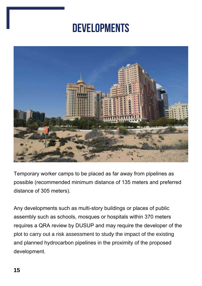#### **developments**



Temporary worker camps to be placed as far away from pipelines as possible (recommended minimum distance of 135 meters and preferred distance of 305 meters).

Any developments such as multi-story buildings or places of public assembly such as schools, mosques or hospitals within 370 meters requires a QRA review by DUSUP and may require the developer of the plot to carry out a risk assessment to study the impact of the existing and planned hydrocarbon pipelines in the proximity of the proposed development.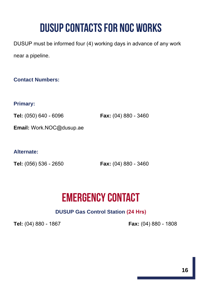# **DUSUP CONTACTS FOR NOC WORKS**

DUSUP must be informed four (4) working days in advance of any work near a pipeline.

**Contact Numbers:**

**Primary:**

**Tel:** (050) 640 - 6096 **Fax:** (04) 880 - 3460

**Email:** Work.NOC@dusup.ae

**Alternate:**

**Tel:** (056) 536 - 2650 **Fax:** (04) 880 - 3460

#### **EMERGENCY CONTACT**

#### **DUSUP Gas Control Station (24 Hrs)**

**Tel:** (04) 880 - 1867 **Fax:** (04) 880 - 1808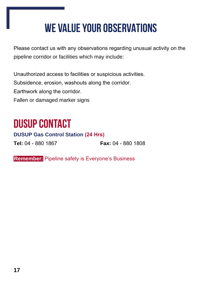# **WE VALUE YOUR OBSERVATIONS**

Please contact us with any observations regarding unusual activity on the pipeline corridor or facilities which may include:

Unauthorized access to facilities or suspicious activities. Subsidence, erosion, washouts along the corridor. Earthwork along the corridor. Fallen or damaged marker signs

#### **DUSUP Contact**

**DUSUP Gas Control Station (24 Hrs)**

**Tel:** 04 - 880 1867 **Fax:** 04 - 880 1808

**Remember:** Pipeline safety is Everyone's Business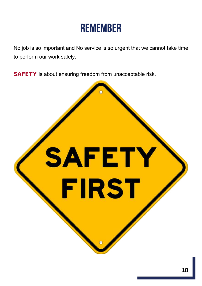#### **REMEMBER**

No job is so important and No service is so urgent that we cannot take time to perform our work safely.

**SAFETY** is about ensuring freedom from unacceptable risk.